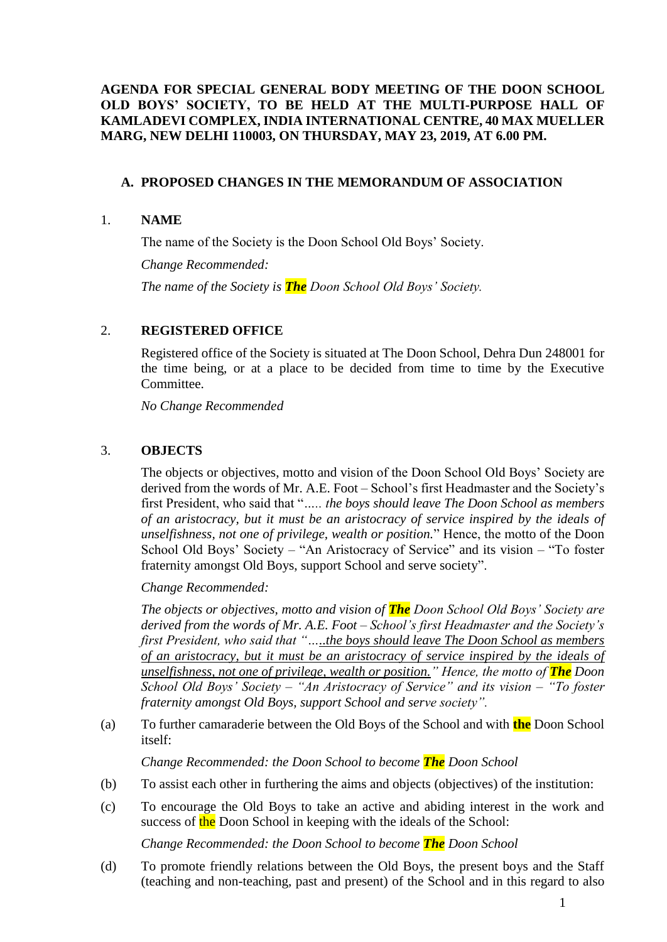## **AGENDA FOR SPECIAL GENERAL BODY MEETING OF THE DOON SCHOOL OLD BOYS' SOCIETY, TO BE HELD AT THE MULTI-PURPOSE HALL OF KAMLADEVI COMPLEX, INDIA INTERNATIONAL CENTRE, 40 MAX MUELLER MARG, NEW DELHI 110003, ON THURSDAY, MAY 23, 2019, AT 6.00 PM.**

### **A. PROPOSED CHANGES IN THE MEMORANDUM OF ASSOCIATION**

#### 1. **NAME**

The name of the Society is the Doon School Old Boys' Society.

*Change Recommended:* 

*The name of the Society is The Doon School Old Boys' Society.*

### 2. **REGISTERED OFFICE**

Registered office of the Society is situated at The Doon School, Dehra Dun 248001 for the time being, or at a place to be decided from time to time by the Executive Committee.

*No Change Recommended*

### 3. **OBJECTS**

The objects or objectives, motto and vision of the Doon School Old Boys' Society are derived from the words of Mr. A.E. Foot – School's first Headmaster and the Society's first President, who said that "*….. the boys should leave The Doon School as members of an aristocracy, but it must be an aristocracy of service inspired by the ideals of unselfishness, not one of privilege, wealth or position.*" Hence, the motto of the Doon School Old Boys' Society – "An Aristocracy of Service" and its vision – "To foster fraternity amongst Old Boys, support School and serve society".

*Change Recommended:* 

*The objects or objectives, motto and vision of The Doon School Old Boys' Society are derived from the words of Mr. A.E. Foot – School's first Headmaster and the Society's first President, who said that "…..the boys should leave The Doon School as members of an aristocracy, but it must be an aristocracy of service inspired by the ideals of unselfishness, not one of privilege, wealth or position.*" Hence, the motto of **The** *Doon School Old Boys' Society – "An Aristocracy of Service" and its vision – "To foster fraternity amongst Old Boys, support School and serve society".*

(a) To further camaraderie between the Old Boys of the School and with **the** Doon School itself:

*Change Recommended: the Doon School to become The Doon School*

- (b) To assist each other in furthering the aims and objects (objectives) of the institution:
- (c) To encourage the Old Boys to take an active and abiding interest in the work and success of the Doon School in keeping with the ideals of the School:

*Change Recommended: the Doon School to become The Doon School*

(d) To promote friendly relations between the Old Boys, the present boys and the Staff (teaching and non-teaching, past and present) of the School and in this regard to also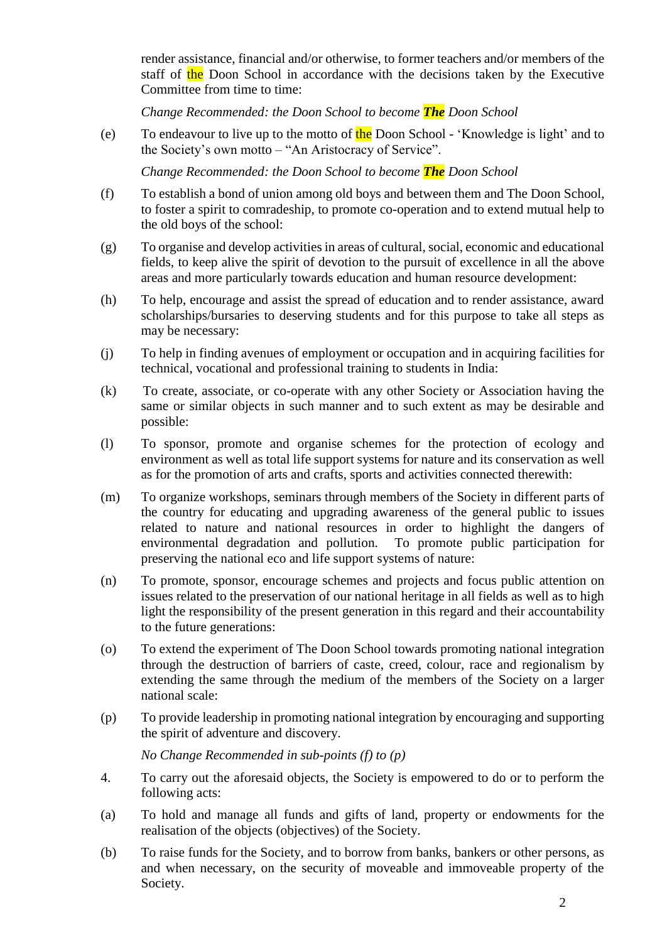render assistance, financial and/or otherwise, to former teachers and/or members of the staff of the Doon School in accordance with the decisions taken by the Executive Committee from time to time:

*Change Recommended: the Doon School to become The Doon School*

(e) To endeavour to live up to the motto of  $\frac{\text{the}}{\text{b}}$  Doon School - 'Knowledge is light' and to the Society's own motto – "An Aristocracy of Service".

*Change Recommended: the Doon School to become The Doon School*

- (f) To establish a bond of union among old boys and between them and The Doon School, to foster a spirit to comradeship, to promote co-operation and to extend mutual help to the old boys of the school:
- (g) To organise and develop activities in areas of cultural, social, economic and educational fields, to keep alive the spirit of devotion to the pursuit of excellence in all the above areas and more particularly towards education and human resource development:
- (h) To help, encourage and assist the spread of education and to render assistance, award scholarships/bursaries to deserving students and for this purpose to take all steps as may be necessary:
- (j) To help in finding avenues of employment or occupation and in acquiring facilities for technical, vocational and professional training to students in India:
- (k) To create, associate, or co-operate with any other Society or Association having the same or similar objects in such manner and to such extent as may be desirable and possible:
- (l) To sponsor, promote and organise schemes for the protection of ecology and environment as well as total life support systems for nature and its conservation as well as for the promotion of arts and crafts, sports and activities connected therewith:
- (m) To organize workshops, seminars through members of the Society in different parts of the country for educating and upgrading awareness of the general public to issues related to nature and national resources in order to highlight the dangers of environmental degradation and pollution. To promote public participation for preserving the national eco and life support systems of nature:
- (n) To promote, sponsor, encourage schemes and projects and focus public attention on issues related to the preservation of our national heritage in all fields as well as to high light the responsibility of the present generation in this regard and their accountability to the future generations:
- (o) To extend the experiment of The Doon School towards promoting national integration through the destruction of barriers of caste, creed, colour, race and regionalism by extending the same through the medium of the members of the Society on a larger national scale:
- (p) To provide leadership in promoting national integration by encouraging and supporting the spirit of adventure and discovery.

*No Change Recommended in sub-points (f) to (p)*

- 4. To carry out the aforesaid objects, the Society is empowered to do or to perform the following acts:
- (a) To hold and manage all funds and gifts of land, property or endowments for the realisation of the objects (objectives) of the Society.
- (b) To raise funds for the Society, and to borrow from banks, bankers or other persons, as and when necessary, on the security of moveable and immoveable property of the Society.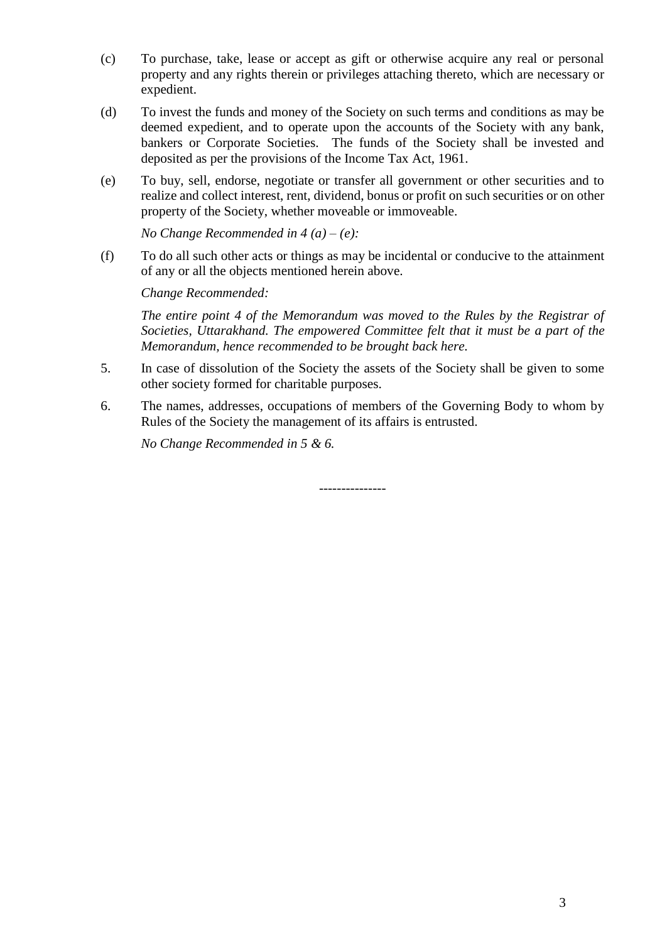- (c) To purchase, take, lease or accept as gift or otherwise acquire any real or personal property and any rights therein or privileges attaching thereto, which are necessary or expedient.
- (d) To invest the funds and money of the Society on such terms and conditions as may be deemed expedient, and to operate upon the accounts of the Society with any bank, bankers or Corporate Societies. The funds of the Society shall be invested and deposited as per the provisions of the Income Tax Act, 1961.
- (e) To buy, sell, endorse, negotiate or transfer all government or other securities and to realize and collect interest, rent, dividend, bonus or profit on such securities or on other property of the Society, whether moveable or immoveable.

*No Change Recommended in 4 (a) – (e):*

(f) To do all such other acts or things as may be incidental or conducive to the attainment of any or all the objects mentioned herein above.

*Change Recommended:*

*The entire point 4 of the Memorandum was moved to the Rules by the Registrar of Societies, Uttarakhand. The empowered Committee felt that it must be a part of the Memorandum, hence recommended to be brought back here.*

- 5. In case of dissolution of the Society the assets of the Society shall be given to some other society formed for charitable purposes.
- 6. The names, addresses, occupations of members of the Governing Body to whom by Rules of the Society the management of its affairs is entrusted.

---------------

*No Change Recommended in 5 & 6.*

3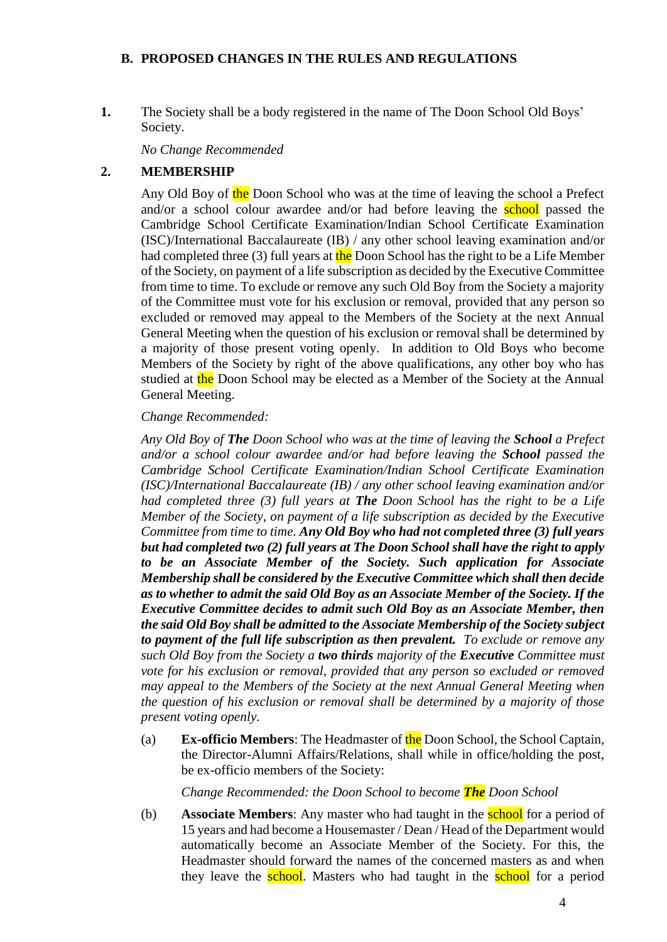### **B. PROPOSED CHANGES IN THE RULES AND REGULATIONS**

**1.** The Society shall be a body registered in the name of The Doon School Old Boys' Society.

*No Change Recommended*

### **2. MEMBERSHIP**

Any Old Boy of the Doon School who was at the time of leaving the school a Prefect and/or a school colour awardee and/or had before leaving the **school** passed the Cambridge School Certificate Examination/Indian School Certificate Examination (ISC)/International Baccalaureate (IB) / any other school leaving examination and/or had completed three (3) full years at the Doon School has the right to be a Life Member of the Society, on payment of a life subscription as decided by the Executive Committee from time to time. To exclude or remove any such Old Boy from the Society a majority of the Committee must vote for his exclusion or removal, provided that any person so excluded or removed may appeal to the Members of the Society at the next Annual General Meeting when the question of his exclusion or removal shall be determined by a majority of those present voting openly. In addition to Old Boys who become Members of the Society by right of the above qualifications, any other boy who has studied at the Doon School may be elected as a Member of the Society at the Annual General Meeting.

#### *Change Recommended:*

*Any Old Boy of The Doon School who was at the time of leaving the School a Prefect and/or a school colour awardee and/or had before leaving the School passed the Cambridge School Certificate Examination/Indian School Certificate Examination (ISC)/International Baccalaureate (IB) / any other school leaving examination and/or had completed three (3) full years at The Doon School has the right to be a Life Member of the Society, on payment of a life subscription as decided by the Executive Committee from time to time. Any Old Boy who had not completed three (3) full years but had completed two (2) full years at The Doon School shall have the right to apply to be an Associate Member of the Society. Such application for Associate Membership shall be considered by the Executive Committee which shall then decide as to whether to admit the said Old Boy as an Associate Member of the Society. If the Executive Committee decides to admit such Old Boy as an Associate Member, then the said Old Boy shall be admitted to the Associate Membership of the Society subject to payment of the full life subscription as then prevalent. To exclude or remove any such Old Boy from the Society a two thirds majority of the Executive Committee must vote for his exclusion or removal, provided that any person so excluded or removed may appeal to the Members of the Society at the next Annual General Meeting when the question of his exclusion or removal shall be determined by a majority of those present voting openly.*

(a) **Ex-officio Members**: The Headmaster of the Doon School, the School Captain, the Director-Alumni Affairs/Relations, shall while in office/holding the post, be ex-officio members of the Society:

#### *Change Recommended: the Doon School to become The Doon School*

(b) **Associate Members**: Any master who had taught in the school for a period of 15 years and had become a Housemaster / Dean / Head of the Department would automatically become an Associate Member of the Society. For this, the Headmaster should forward the names of the concerned masters as and when they leave the **school**. Masters who had taught in the **school** for a period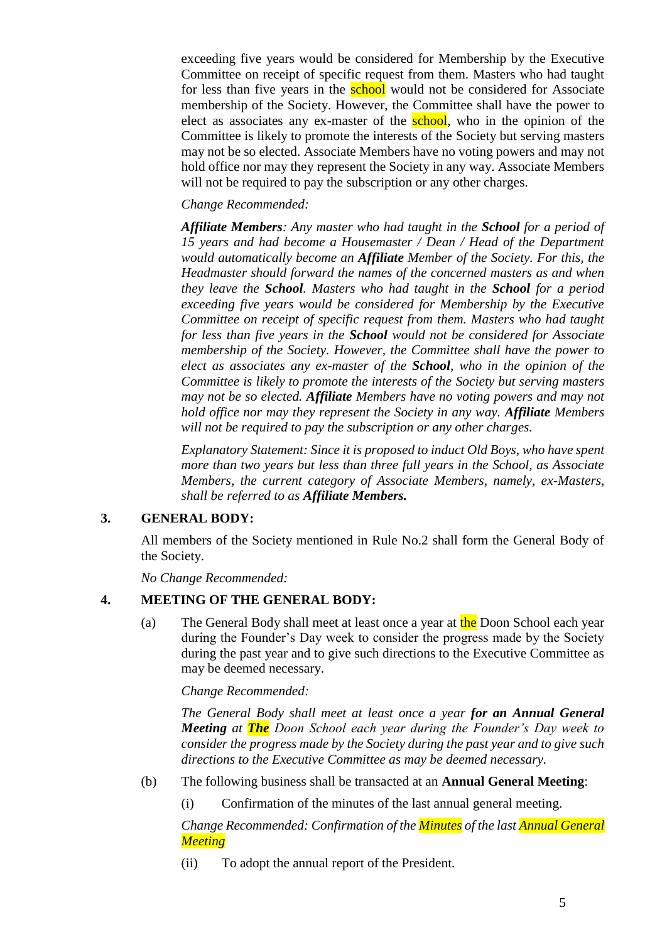exceeding five years would be considered for Membership by the Executive Committee on receipt of specific request from them. Masters who had taught for less than five years in the **school** would not be considered for Associate membership of the Society. However, the Committee shall have the power to elect as associates any ex-master of the school, who in the opinion of the Committee is likely to promote the interests of the Society but serving masters may not be so elected. Associate Members have no voting powers and may not hold office nor may they represent the Society in any way. Associate Members will not be required to pay the subscription or any other charges.

### *Change Recommended:*

*Affiliate Members: Any master who had taught in the School for a period of 15 years and had become a Housemaster / Dean / Head of the Department would automatically become an Affiliate Member of the Society. For this, the Headmaster should forward the names of the concerned masters as and when they leave the School. Masters who had taught in the School for a period exceeding five years would be considered for Membership by the Executive Committee on receipt of specific request from them. Masters who had taught for less than five years in the School would not be considered for Associate membership of the Society. However, the Committee shall have the power to elect as associates any ex-master of the School, who in the opinion of the Committee is likely to promote the interests of the Society but serving masters may not be so elected. Affiliate Members have no voting powers and may not hold office nor may they represent the Society in any way. Affiliate Members will not be required to pay the subscription or any other charges.*

*Explanatory Statement: Since it is proposed to induct Old Boys, who have spent more than two years but less than three full years in the School, as Associate Members, the current category of Associate Members, namely, ex-Masters, shall be referred to as Affiliate Members.*

### **3. GENERAL BODY:**

All members of the Society mentioned in Rule No.2 shall form the General Body of the Society.

*No Change Recommended:*

### **4. MEETING OF THE GENERAL BODY:**

(a) The General Body shall meet at least once a year at the Doon School each year during the Founder's Day week to consider the progress made by the Society during the past year and to give such directions to the Executive Committee as may be deemed necessary.

### *Change Recommended:*

*The General Body shall meet at least once a year for an Annual General Meeting at The Doon School each year during the Founder's Day week to consider the progress made by the Society during the past year and to give such directions to the Executive Committee as may be deemed necessary.*

- (b) The following business shall be transacted at an **Annual General Meeting**:
	- (i) Confirmation of the minutes of the last annual general meeting.

*Change Recommended: Confirmation of the Minutes of the last Annual General Meeting*

(ii) To adopt the annual report of the President.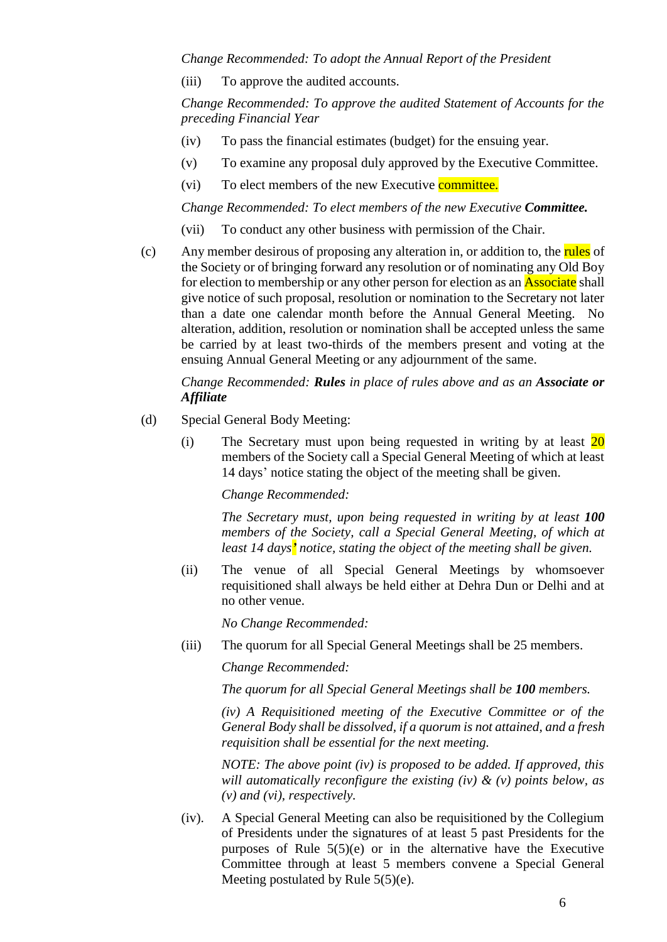#### *Change Recommended: To adopt the Annual Report of the President*

(iii) To approve the audited accounts.

*Change Recommended: To approve the audited Statement of Accounts for the preceding Financial Year*

- (iv) To pass the financial estimates (budget) for the ensuing year.
- (v) To examine any proposal duly approved by the Executive Committee.
- (vi) To elect members of the new Executive committee.

*Change Recommended: To elect members of the new Executive Committee.*

- (vii) To conduct any other business with permission of the Chair.
- (c) Any member desirous of proposing any alteration in, or addition to, the rules of the Society or of bringing forward any resolution or of nominating any Old Boy for election to membership or any other person for election as an **Associate** shall give notice of such proposal, resolution or nomination to the Secretary not later than a date one calendar month before the Annual General Meeting. No alteration, addition, resolution or nomination shall be accepted unless the same be carried by at least two-thirds of the members present and voting at the ensuing Annual General Meeting or any adjournment of the same.

### *Change Recommended: Rules in place of rules above and as an Associate or Affiliate*

- (d) Special General Body Meeting:
	- (i) The Secretary must upon being requested in writing by at least  $\overline{20}$ members of the Society call a Special General Meeting of which at least 14 days' notice stating the object of the meeting shall be given.

*Change Recommended:*

*The Secretary must, upon being requested in writing by at least 100 members of the Society, call a Special General Meeting, of which at least 14 days' notice, stating the object of the meeting shall be given.*

(ii) The venue of all Special General Meetings by whomsoever requisitioned shall always be held either at Dehra Dun or Delhi and at no other venue.

*No Change Recommended:*

(iii) The quorum for all Special General Meetings shall be 25 members.

*Change Recommended:*

*The quorum for all Special General Meetings shall be 100 members.*

*(iv) A Requisitioned meeting of the Executive Committee or of the General Body shall be dissolved, if a quorum is not attained, and a fresh requisition shall be essential for the next meeting.*

*NOTE: The above point (iv) is proposed to be added. If approved, this will automatically reconfigure the existing (iv) & (v) points below, as (v) and (vi), respectively.*

(iv). A Special General Meeting can also be requisitioned by the Collegium of Presidents under the signatures of at least 5 past Presidents for the purposes of Rule 5(5)(e) or in the alternative have the Executive Committee through at least 5 members convene a Special General Meeting postulated by Rule 5(5)(e).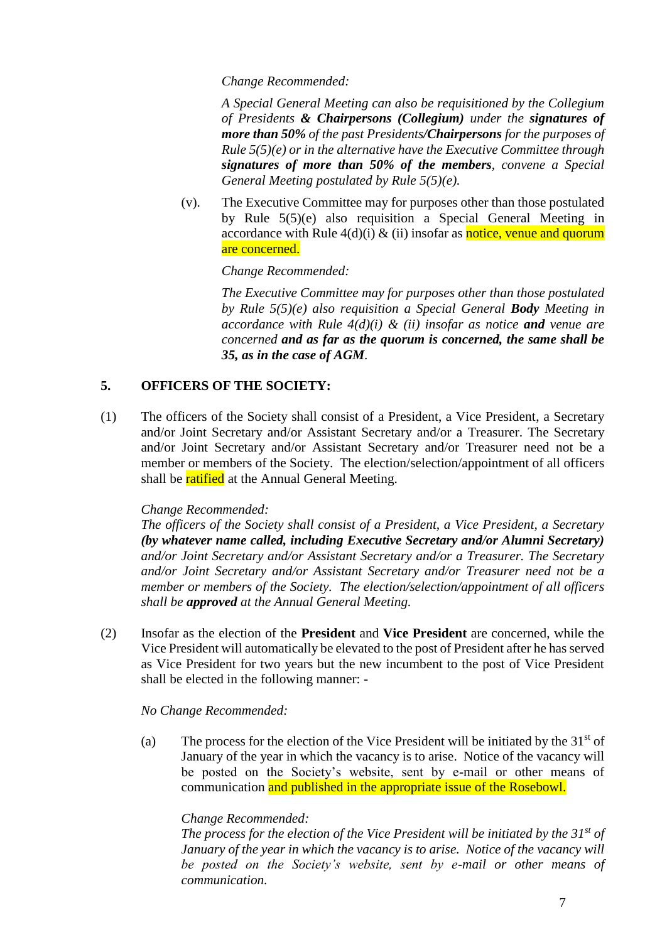### *Change Recommended:*

*A Special General Meeting can also be requisitioned by the Collegium of Presidents & Chairpersons (Collegium) under the signatures of more than 50% of the past Presidents/Chairpersons for the purposes of Rule 5(5)(e) or in the alternative have the Executive Committee through signatures of more than 50% of the members, convene a Special General Meeting postulated by Rule 5(5)(e).*

(v). The Executive Committee may for purposes other than those postulated by Rule 5(5)(e) also requisition a Special General Meeting in accordance with Rule  $4(d)(i) \& (ii)$  insofar as notice, venue and quorum are concerned.

### *Change Recommended:*

*The Executive Committee may for purposes other than those postulated by Rule 5(5)(e) also requisition a Special General Body Meeting in accordance with Rule 4(d)(i) & (ii) insofar as notice and venue are concerned and as far as the quorum is concerned, the same shall be 35, as in the case of AGM.*

# **5. OFFICERS OF THE SOCIETY:**

(1) The officers of the Society shall consist of a President, a Vice President, a Secretary and/or Joint Secretary and/or Assistant Secretary and/or a Treasurer. The Secretary and/or Joint Secretary and/or Assistant Secretary and/or Treasurer need not be a member or members of the Society. The election/selection/appointment of all officers shall be ratified at the Annual General Meeting.

### *Change Recommended:*

*The officers of the Society shall consist of a President, a Vice President, a Secretary (by whatever name called, including Executive Secretary and/or Alumni Secretary) and/or Joint Secretary and/or Assistant Secretary and/or a Treasurer. The Secretary and/or Joint Secretary and/or Assistant Secretary and/or Treasurer need not be a member or members of the Society. The election/selection/appointment of all officers shall be approved at the Annual General Meeting.*

(2) Insofar as the election of the **President** and **Vice President** are concerned, while the Vice President will automatically be elevated to the post of President after he has served as Vice President for two years but the new incumbent to the post of Vice President shall be elected in the following manner: -

### *No Change Recommended:*

(a) The process for the election of the Vice President will be initiated by the  $31<sup>st</sup>$  of January of the year in which the vacancy is to arise. Notice of the vacancy will be posted on the Society's website, sent by e-mail or other means of communication and published in the appropriate issue of the Rosebowl.

## *Change Recommended:*

*The process for the election of the Vice President will be initiated by the 31st of January of the year in which the vacancy is to arise. Notice of the vacancy will be posted on the Society's website, sent by e-mail or other means of communication.*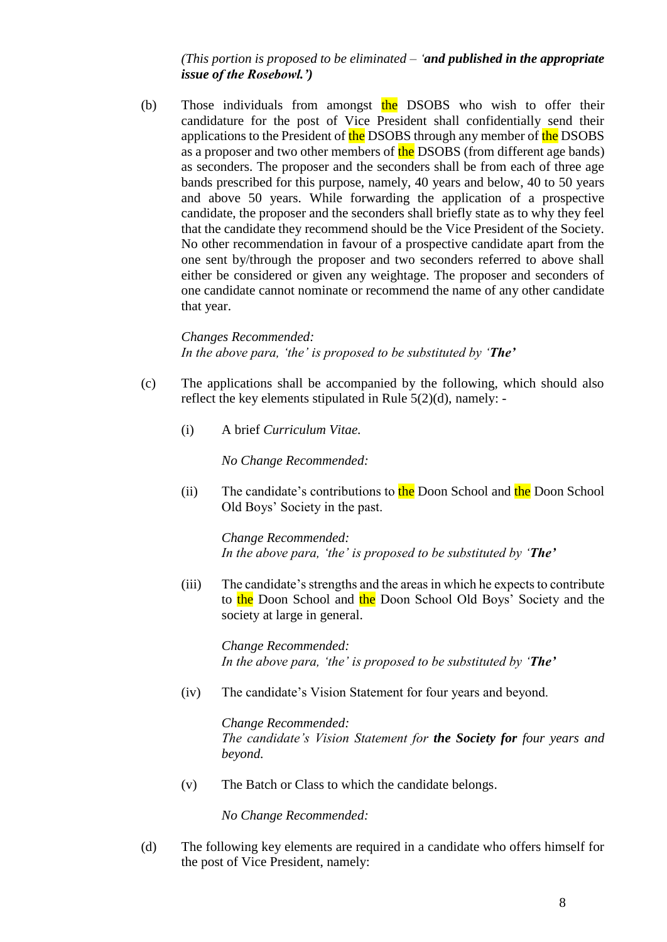*(This portion is proposed to be eliminated – 'and published in the appropriate issue of the Rosebowl.')*

(b) Those individuals from amongst the DSOBS who wish to offer their candidature for the post of Vice President shall confidentially send their applications to the President of the DSOBS through any member of the DSOBS as a proposer and two other members of the DSOBS (from different age bands) as seconders. The proposer and the seconders shall be from each of three age bands prescribed for this purpose, namely, 40 years and below, 40 to 50 years and above 50 years. While forwarding the application of a prospective candidate, the proposer and the seconders shall briefly state as to why they feel that the candidate they recommend should be the Vice President of the Society. No other recommendation in favour of a prospective candidate apart from the one sent by/through the proposer and two seconders referred to above shall either be considered or given any weightage. The proposer and seconders of one candidate cannot nominate or recommend the name of any other candidate that year.

*Changes Recommended: In the above para, 'the' is proposed to be substituted by 'The'*

- (c) The applications shall be accompanied by the following, which should also reflect the key elements stipulated in Rule 5(2)(d), namely: -
	- (i) A brief *Curriculum Vitae.*

*No Change Recommended:*

(ii) The candidate's contributions to the Doon School and the Doon School Old Boys' Society in the past.

*Change Recommended: In the above para, 'the' is proposed to be substituted by 'The'*

(iii) The candidate's strengths and the areas in which he expects to contribute to the Doon School and the Doon School Old Boys' Society and the society at large in general.

*Change Recommended: In the above para, 'the' is proposed to be substituted by 'The'*

(iv) The candidate's Vision Statement for four years and beyond.

*Change Recommended: The candidate's Vision Statement for the Society for four years and beyond.*

(v) The Batch or Class to which the candidate belongs.

*No Change Recommended:*

(d) The following key elements are required in a candidate who offers himself for the post of Vice President, namely: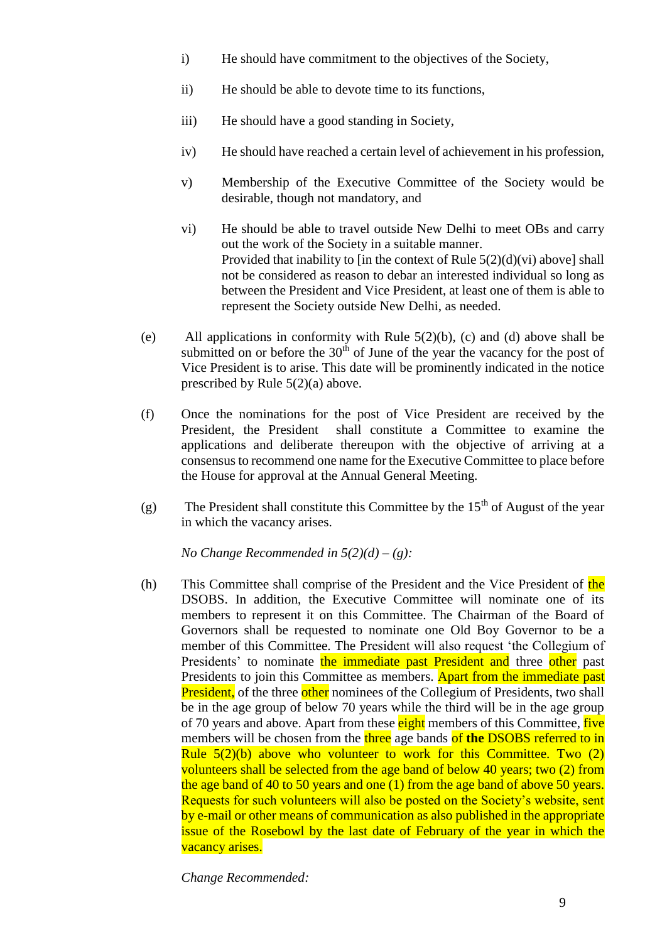- i) He should have commitment to the objectives of the Society,
- ii) He should be able to devote time to its functions,
- iii) He should have a good standing in Society,
- iv) He should have reached a certain level of achievement in his profession,
- v) Membership of the Executive Committee of the Society would be desirable, though not mandatory, and
- vi) He should be able to travel outside New Delhi to meet OBs and carry out the work of the Society in a suitable manner. Provided that inability to [in the context of Rule  $5(2)(d)(vi)$  above] shall not be considered as reason to debar an interested individual so long as between the President and Vice President, at least one of them is able to represent the Society outside New Delhi, as needed.
- (e) All applications in conformity with Rule 5(2)(b), (c) and (d) above shall be submitted on or before the  $30<sup>th</sup>$  of June of the year the vacancy for the post of Vice President is to arise. This date will be prominently indicated in the notice prescribed by Rule 5(2)(a) above.
- (f) Once the nominations for the post of Vice President are received by the President, the President shall constitute a Committee to examine the applications and deliberate thereupon with the objective of arriving at a consensus to recommend one name for the Executive Committee to place before the House for approval at the Annual General Meeting.
- (g) The President shall constitute this Committee by the  $15<sup>th</sup>$  of August of the year in which the vacancy arises.

*No Change Recommended in 5(2)(d) – (g):*

(h) This Committee shall comprise of the President and the Vice President of the DSOBS. In addition, the Executive Committee will nominate one of its members to represent it on this Committee. The Chairman of the Board of Governors shall be requested to nominate one Old Boy Governor to be a member of this Committee. The President will also request 'the Collegium of Presidents' to nominate the immediate past President and three other past Presidents to join this Committee as members. Apart from the immediate past **President,** of the three other nominees of the Collegium of Presidents, two shall be in the age group of below 70 years while the third will be in the age group of 70 years and above. Apart from these eight members of this Committee, five members will be chosen from the three age bands of **the** DSOBS referred to in Rule  $5(2)(b)$  above who volunteer to work for this Committee. Two  $(2)$ volunteers shall be selected from the age band of below 40 years; two (2) from the age band of 40 to 50 years and one (1) from the age band of above 50 years. Requests for such volunteers will also be posted on the Society's website, sent by e-mail or other means of communication as also published in the appropriate issue of the Rosebowl by the last date of February of the year in which the vacancy arises.

*Change Recommended:*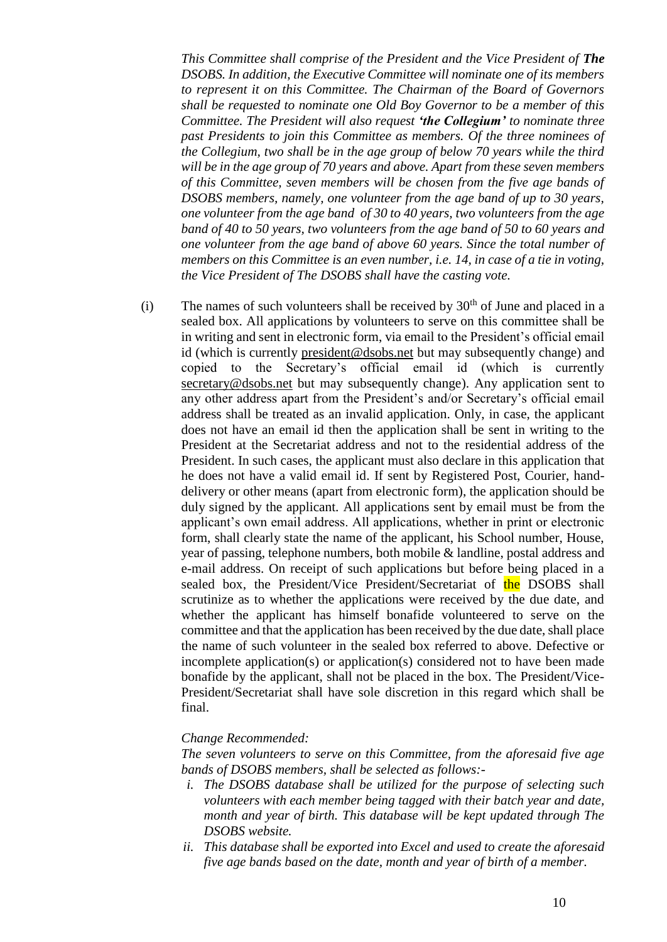*This Committee shall comprise of the President and the Vice President of The DSOBS. In addition, the Executive Committee will nominate one of its members to represent it on this Committee. The Chairman of the Board of Governors shall be requested to nominate one Old Boy Governor to be a member of this Committee. The President will also request 'the Collegium' to nominate three past Presidents to join this Committee as members. Of the three nominees of the Collegium, two shall be in the age group of below 70 years while the third will be in the age group of 70 years and above. Apart from these seven members of this Committee, seven members will be chosen from the five age bands of DSOBS members, namely, one volunteer from the age band of up to 30 years, one volunteer from the age band of 30 to 40 years, two volunteers from the age band of 40 to 50 years, two volunteers from the age band of 50 to 60 years and one volunteer from the age band of above 60 years. Since the total number of members on this Committee is an even number, i.e. 14, in case of a tie in voting, the Vice President of The DSOBS shall have the casting vote.*

(i) The names of such volunteers shall be received by  $30<sup>th</sup>$  of June and placed in a sealed box. All applications by volunteers to serve on this committee shall be in writing and sent in electronic form, via email to the President's official email id (which is currently [president@dsobs.net](mailto:president@dsobs.net) but may subsequently change) and copied to the Secretary's official email id (which is currently [secretary@dsobs.net](mailto:secretary@dsobs.net) but may subsequently change). Any application sent to any other address apart from the President's and/or Secretary's official email address shall be treated as an invalid application. Only, in case, the applicant does not have an email id then the application shall be sent in writing to the President at the Secretariat address and not to the residential address of the President. In such cases, the applicant must also declare in this application that he does not have a valid email id. If sent by Registered Post, Courier, handdelivery or other means (apart from electronic form), the application should be duly signed by the applicant. All applications sent by email must be from the applicant's own email address. All applications, whether in print or electronic form, shall clearly state the name of the applicant, his School number, House, year of passing, telephone numbers, both mobile & landline, postal address and e-mail address. On receipt of such applications but before being placed in a sealed box, the President/Vice President/Secretariat of the DSOBS shall scrutinize as to whether the applications were received by the due date, and whether the applicant has himself bonafide volunteered to serve on the committee and that the application has been received by the due date, shall place the name of such volunteer in the sealed box referred to above. Defective or incomplete application(s) or application(s) considered not to have been made bonafide by the applicant, shall not be placed in the box. The President/Vice-President/Secretariat shall have sole discretion in this regard which shall be final.

#### *Change Recommended:*

*The seven volunteers to serve on this Committee, from the aforesaid five age bands of DSOBS members, shall be selected as follows:-*

- *i. The DSOBS database shall be utilized for the purpose of selecting such volunteers with each member being tagged with their batch year and date, month and year of birth. This database will be kept updated through The DSOBS website.*
- *ii. This database shall be exported into Excel and used to create the aforesaid five age bands based on the date, month and year of birth of a member.*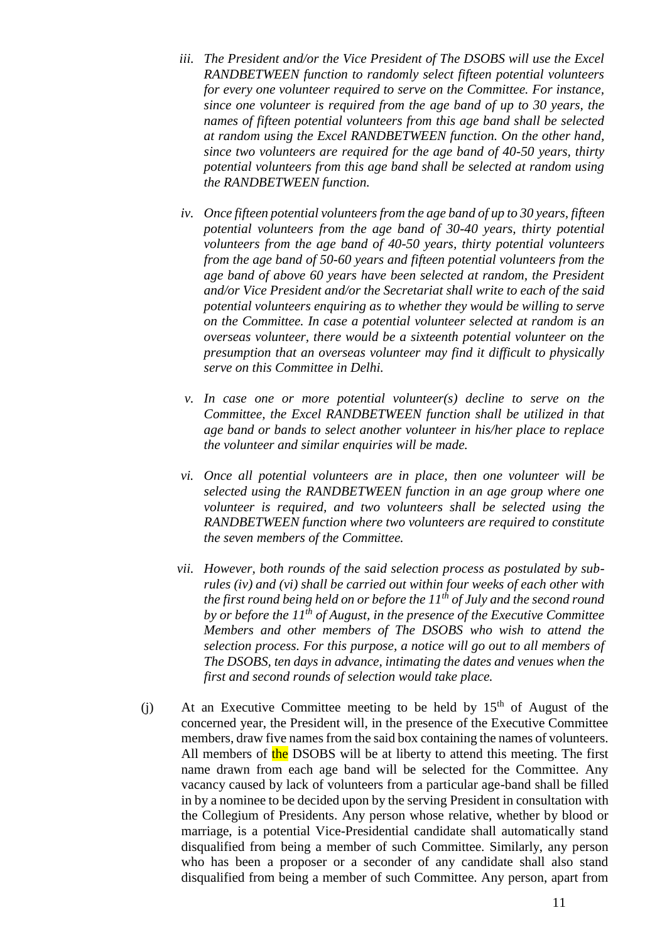- *iii. The President and/or the Vice President of The DSOBS will use the Excel RANDBETWEEN function to randomly select fifteen potential volunteers for every one volunteer required to serve on the Committee. For instance, since one volunteer is required from the age band of up to 30 years, the names of fifteen potential volunteers from this age band shall be selected at random using the Excel RANDBETWEEN function. On the other hand, since two volunteers are required for the age band of 40-50 years, thirty potential volunteers from this age band shall be selected at random using the RANDBETWEEN function.*
- *iv. Once fifteen potential volunteers from the age band of up to 30 years, fifteen potential volunteers from the age band of 30-40 years, thirty potential volunteers from the age band of 40-50 years, thirty potential volunteers from the age band of 50-60 years and fifteen potential volunteers from the age band of above 60 years have been selected at random, the President and/or Vice President and/or the Secretariat shall write to each of the said potential volunteers enquiring as to whether they would be willing to serve on the Committee. In case a potential volunteer selected at random is an overseas volunteer, there would be a sixteenth potential volunteer on the presumption that an overseas volunteer may find it difficult to physically serve on this Committee in Delhi.*
- *v. In case one or more potential volunteer(s) decline to serve on the Committee, the Excel RANDBETWEEN function shall be utilized in that age band or bands to select another volunteer in his/her place to replace the volunteer and similar enquiries will be made.*
- *vi. Once all potential volunteers are in place, then one volunteer will be selected using the RANDBETWEEN function in an age group where one volunteer is required, and two volunteers shall be selected using the RANDBETWEEN function where two volunteers are required to constitute the seven members of the Committee.*
- *vii. However, both rounds of the said selection process as postulated by subrules (iv) and (vi) shall be carried out within four weeks of each other with the first round being held on or before the 11th of July and the second round by or before the 11th of August, in the presence of the Executive Committee Members and other members of The DSOBS who wish to attend the selection process. For this purpose, a notice will go out to all members of The DSOBS, ten days in advance, intimating the dates and venues when the first and second rounds of selection would take place.*
- (i) At an Executive Committee meeting to be held by  $15<sup>th</sup>$  of August of the concerned year, the President will, in the presence of the Executive Committee members, draw five names from the said box containing the names of volunteers. All members of the DSOBS will be at liberty to attend this meeting. The first name drawn from each age band will be selected for the Committee. Any vacancy caused by lack of volunteers from a particular age-band shall be filled in by a nominee to be decided upon by the serving President in consultation with the Collegium of Presidents. Any person whose relative, whether by blood or marriage, is a potential Vice-Presidential candidate shall automatically stand disqualified from being a member of such Committee. Similarly, any person who has been a proposer or a seconder of any candidate shall also stand disqualified from being a member of such Committee. Any person, apart from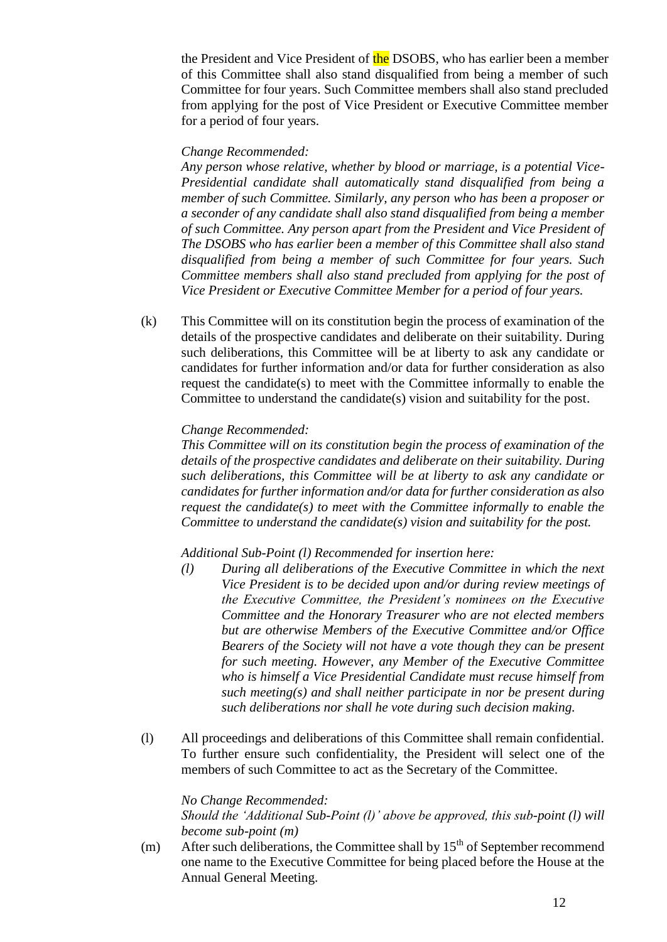the President and Vice President of the DSOBS, who has earlier been a member of this Committee shall also stand disqualified from being a member of such Committee for four years. Such Committee members shall also stand precluded from applying for the post of Vice President or Executive Committee member for a period of four years.

### *Change Recommended:*

*Any person whose relative, whether by blood or marriage, is a potential Vice-Presidential candidate shall automatically stand disqualified from being a member of such Committee. Similarly, any person who has been a proposer or a seconder of any candidate shall also stand disqualified from being a member of such Committee. Any person apart from the President and Vice President of The DSOBS who has earlier been a member of this Committee shall also stand disqualified from being a member of such Committee for four years. Such Committee members shall also stand precluded from applying for the post of Vice President or Executive Committee Member for a period of four years.*

(k) This Committee will on its constitution begin the process of examination of the details of the prospective candidates and deliberate on their suitability. During such deliberations, this Committee will be at liberty to ask any candidate or candidates for further information and/or data for further consideration as also request the candidate(s) to meet with the Committee informally to enable the Committee to understand the candidate(s) vision and suitability for the post.

### *Change Recommended:*

*This Committee will on its constitution begin the process of examination of the details of the prospective candidates and deliberate on their suitability. During such deliberations, this Committee will be at liberty to ask any candidate or candidates for further information and/or data for further consideration as also request the candidate(s) to meet with the Committee informally to enable the Committee to understand the candidate(s) vision and suitability for the post.*

### *Additional Sub-Point (l) Recommended for insertion here:*

- *(l) During all deliberations of the Executive Committee in which the next Vice President is to be decided upon and/or during review meetings of the Executive Committee, the President's nominees on the Executive Committee and the Honorary Treasurer who are not elected members but are otherwise Members of the Executive Committee and/or Office Bearers of the Society will not have a vote though they can be present for such meeting. However, any Member of the Executive Committee who is himself a Vice Presidential Candidate must recuse himself from such meeting(s) and shall neither participate in nor be present during such deliberations nor shall he vote during such decision making.*
- (l) All proceedings and deliberations of this Committee shall remain confidential. To further ensure such confidentiality, the President will select one of the members of such Committee to act as the Secretary of the Committee.

### *No Change Recommended:*

*Should the 'Additional Sub-Point (l)' above be approved, this sub-point (l) will become sub-point (m)*

(m) After such deliberations, the Committee shall by  $15<sup>th</sup>$  of September recommend one name to the Executive Committee for being placed before the House at the Annual General Meeting.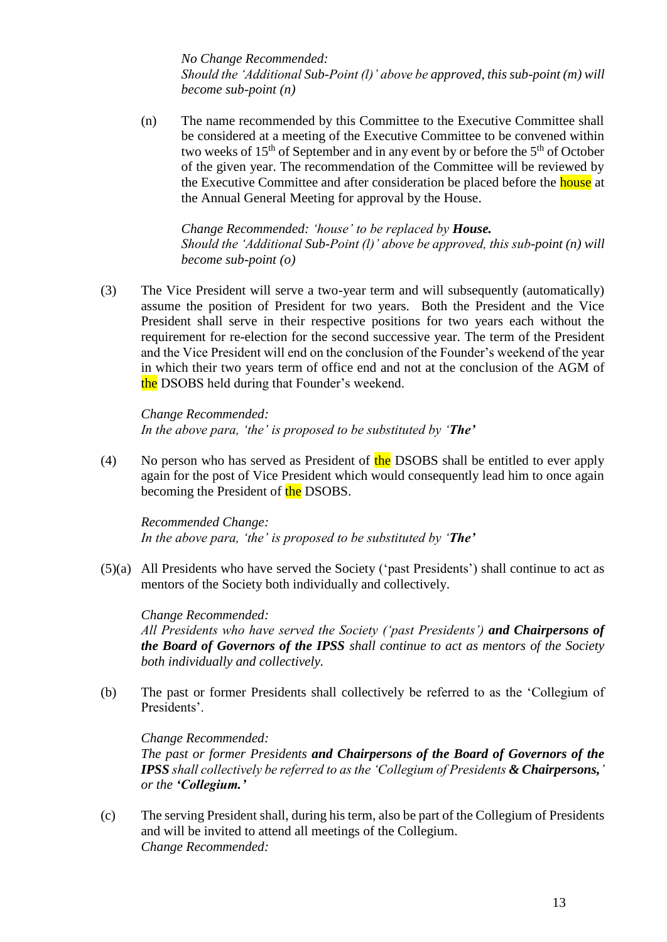*No Change Recommended: Should the 'Additional Sub-Point (l)' above be approved, this sub-point (m) will become sub-point (n)*

(n) The name recommended by this Committee to the Executive Committee shall be considered at a meeting of the Executive Committee to be convened within two weeks of  $15<sup>th</sup>$  of September and in any event by or before the  $5<sup>th</sup>$  of October of the given year. The recommendation of the Committee will be reviewed by the Executive Committee and after consideration be placed before the **house** at the Annual General Meeting for approval by the House.

*Change Recommended: 'house' to be replaced by House. Should the 'Additional Sub-Point (l)' above be approved, this sub-point (n) will become sub-point (o)*

(3) The Vice President will serve a two-year term and will subsequently (automatically) assume the position of President for two years. Both the President and the Vice President shall serve in their respective positions for two years each without the requirement for re-election for the second successive year. The term of the President and the Vice President will end on the conclusion of the Founder's weekend of the year in which their two years term of office end and not at the conclusion of the AGM of the DSOBS held during that Founder's weekend.

*Change Recommended: In the above para, 'the' is proposed to be substituted by 'The'*

(4) No person who has served as President of the DSOBS shall be entitled to ever apply again for the post of Vice President which would consequently lead him to once again becoming the President of the DSOBS.

*Recommended Change: In the above para, 'the' is proposed to be substituted by 'The'*

(5)(a) All Presidents who have served the Society ('past Presidents') shall continue to act as mentors of the Society both individually and collectively.

*Change Recommended: All Presidents who have served the Society ('past Presidents') and Chairpersons of the Board of Governors of the IPSS shall continue to act as mentors of the Society both individually and collectively.*

(b) The past or former Presidents shall collectively be referred to as the 'Collegium of Presidents'.

*Change Recommended: The past or former Presidents and Chairpersons of the Board of Governors of the IPSS shall collectively be referred to as the 'Collegium of Presidents & Chairpersons,' or the 'Collegium.'*

(c) The serving President shall, during his term, also be part of the Collegium of Presidents and will be invited to attend all meetings of the Collegium. *Change Recommended:*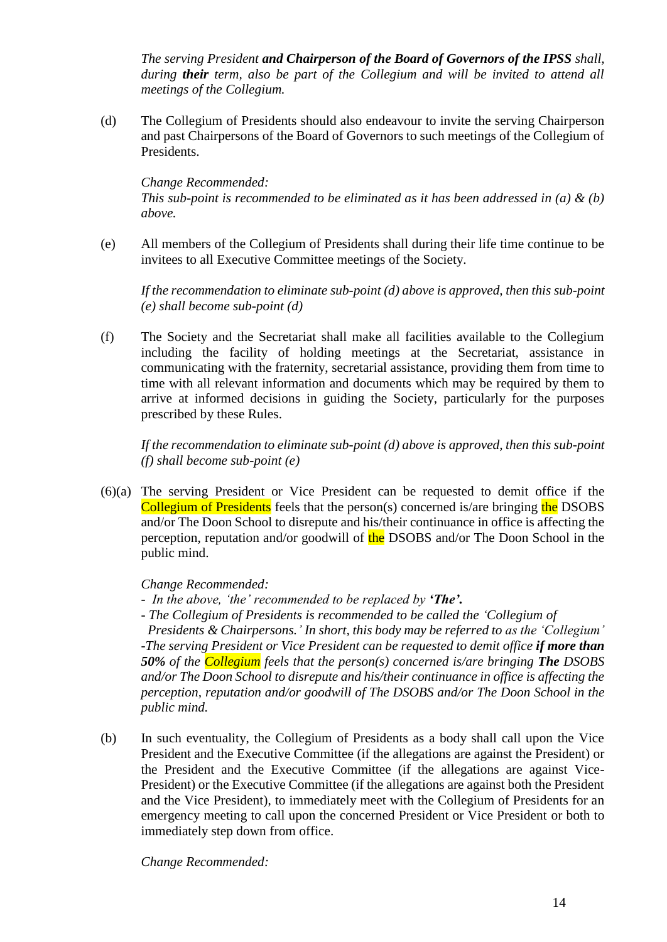*The serving President and Chairperson of the Board of Governors of the IPSS shall, during their term, also be part of the Collegium and will be invited to attend all meetings of the Collegium.*

(d) The Collegium of Presidents should also endeavour to invite the serving Chairperson and past Chairpersons of the Board of Governors to such meetings of the Collegium of Presidents.

### *Change Recommended:*

*This sub-point is recommended to be eliminated as it has been addressed in (a) & (b) above.*

(e) All members of the Collegium of Presidents shall during their life time continue to be invitees to all Executive Committee meetings of the Society.

*If the recommendation to eliminate sub-point (d) above is approved, then this sub-point (e) shall become sub-point (d)*

(f) The Society and the Secretariat shall make all facilities available to the Collegium including the facility of holding meetings at the Secretariat, assistance in communicating with the fraternity, secretarial assistance, providing them from time to time with all relevant information and documents which may be required by them to arrive at informed decisions in guiding the Society, particularly for the purposes prescribed by these Rules.

*If the recommendation to eliminate sub-point (d) above is approved, then this sub-point (f) shall become sub-point (e)*

(6)(a) The serving President or Vice President can be requested to demit office if the Collegium of Presidents feels that the person(s) concerned is/are bringing the DSOBS and/or The Doon School to disrepute and his/their continuance in office is affecting the perception, reputation and/or goodwill of the DSOBS and/or The Doon School in the public mind.

### *Change Recommended:*

- *In the above, 'the' recommended to be replaced by 'The'.*
- *- The Collegium of Presidents is recommended to be called the 'Collegium of*

 *Presidents & Chairpersons.' In short, this body may be referred to as the 'Collegium' -The serving President or Vice President can be requested to demit office if more than 50% of the Collegium feels that the person(s) concerned is/are bringing The DSOBS and/or The Doon School to disrepute and his/their continuance in office is affecting the perception, reputation and/or goodwill of The DSOBS and/or The Doon School in the public mind.*

(b) In such eventuality, the Collegium of Presidents as a body shall call upon the Vice President and the Executive Committee (if the allegations are against the President) or the President and the Executive Committee (if the allegations are against Vice-President) or the Executive Committee (if the allegations are against both the President and the Vice President), to immediately meet with the Collegium of Presidents for an emergency meeting to call upon the concerned President or Vice President or both to immediately step down from office.

*Change Recommended:*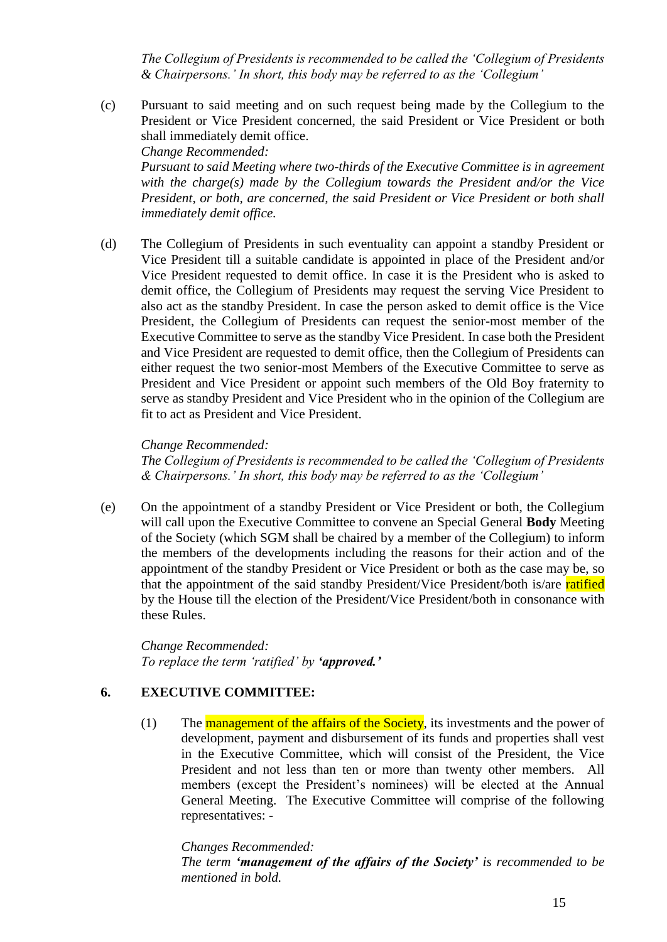*The Collegium of Presidents is recommended to be called the 'Collegium of Presidents & Chairpersons.' In short, this body may be referred to as the 'Collegium'*

(c) Pursuant to said meeting and on such request being made by the Collegium to the President or Vice President concerned, the said President or Vice President or both shall immediately demit office. *Change Recommended:*

*Pursuant to said Meeting where two-thirds of the Executive Committee is in agreement with the charge(s) made by the Collegium towards the President and/or the Vice President, or both, are concerned, the said President or Vice President or both shall immediately demit office.*

(d) The Collegium of Presidents in such eventuality can appoint a standby President or Vice President till a suitable candidate is appointed in place of the President and/or Vice President requested to demit office. In case it is the President who is asked to demit office, the Collegium of Presidents may request the serving Vice President to also act as the standby President. In case the person asked to demit office is the Vice President, the Collegium of Presidents can request the senior-most member of the Executive Committee to serve as the standby Vice President. In case both the President and Vice President are requested to demit office, then the Collegium of Presidents can either request the two senior-most Members of the Executive Committee to serve as President and Vice President or appoint such members of the Old Boy fraternity to serve as standby President and Vice President who in the opinion of the Collegium are fit to act as President and Vice President.

### *Change Recommended:*

*The Collegium of Presidents is recommended to be called the 'Collegium of Presidents & Chairpersons.' In short, this body may be referred to as the 'Collegium'*

(e) On the appointment of a standby President or Vice President or both, the Collegium will call upon the Executive Committee to convene an Special General **Body** Meeting of the Society (which SGM shall be chaired by a member of the Collegium) to inform the members of the developments including the reasons for their action and of the appointment of the standby President or Vice President or both as the case may be, so that the appointment of the said standby President/Vice President/both is/are ratified by the House till the election of the President/Vice President/both in consonance with these Rules.

*Change Recommended: To replace the term 'ratified' by 'approved.'*

## **6. EXECUTIVE COMMITTEE:**

(1) The **management of the affairs of the Society**, its investments and the power of development, payment and disbursement of its funds and properties shall vest in the Executive Committee, which will consist of the President, the Vice President and not less than ten or more than twenty other members. All members (except the President's nominees) will be elected at the Annual General Meeting. The Executive Committee will comprise of the following representatives: -

### *Changes Recommended:*

*The term 'management of the affairs of the Society' is recommended to be mentioned in bold.*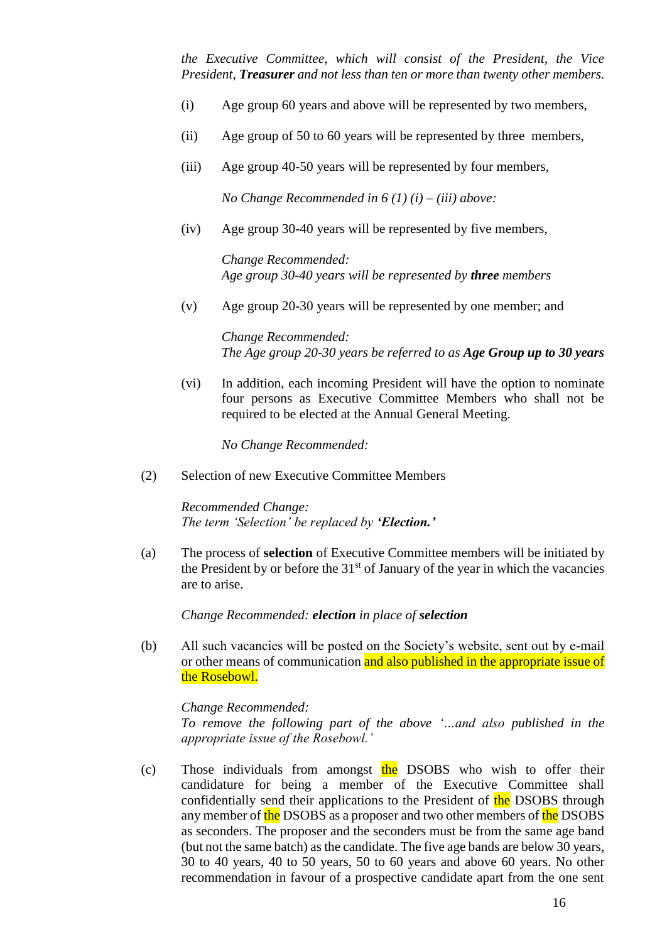*the Executive Committee, which will consist of the President, the Vice President, Treasurer and not less than ten or more than twenty other members.*

- (i) Age group 60 years and above will be represented by two members,
- (ii) Age group of 50 to 60 years will be represented by three members,
- (iii) Age group 40-50 years will be represented by four members,

*No Change Recommended in 6 (1) (i) – (iii) above:*

(iv) Age group 30-40 years will be represented by five members,

*Change Recommended: Age group 30-40 years will be represented by three members*

(v) Age group 20-30 years will be represented by one member; and

*Change Recommended: The Age group 20-30 years be referred to as Age Group up to 30 years*

(vi) In addition, each incoming President will have the option to nominate four persons as Executive Committee Members who shall not be required to be elected at the Annual General Meeting.

*No Change Recommended:*

(2) Selection of new Executive Committee Members

*Recommended Change: The term 'Selection' be replaced by 'Election.'*

(a) The process of **selection** of Executive Committee members will be initiated by the President by or before the  $31<sup>st</sup>$  of January of the year in which the vacancies are to arise.

*Change Recommended: election in place of selection*

(b) All such vacancies will be posted on the Society's website, sent out by e-mail or other means of communication and also published in the appropriate issue of the Rosebowl.

*Change Recommended: To remove the following part of the above '…and also published in the appropriate issue of the Rosebowl.'*

(c) Those individuals from amongst the DSOBS who wish to offer their candidature for being a member of the Executive Committee shall confidentially send their applications to the President of the DSOBS through any member of the DSOBS as a proposer and two other members of the DSOBS as seconders. The proposer and the seconders must be from the same age band (but not the same batch) as the candidate. The five age bands are below 30 years, 30 to 40 years, 40 to 50 years, 50 to 60 years and above 60 years. No other recommendation in favour of a prospective candidate apart from the one sent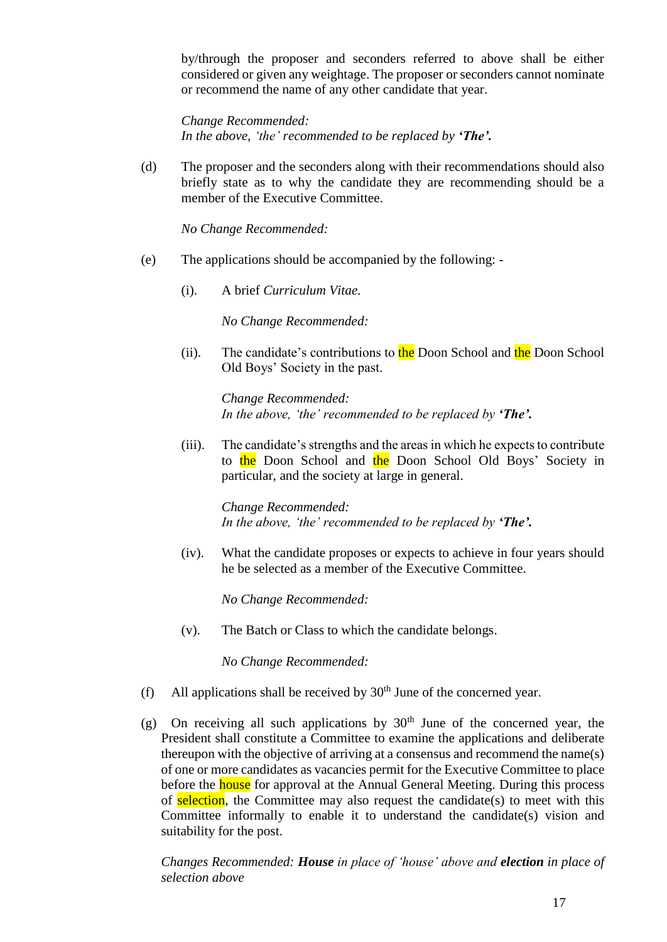by/through the proposer and seconders referred to above shall be either considered or given any weightage. The proposer or seconders cannot nominate or recommend the name of any other candidate that year.

*Change Recommended: In the above, 'the' recommended to be replaced by 'The'.*

(d) The proposer and the seconders along with their recommendations should also briefly state as to why the candidate they are recommending should be a member of the Executive Committee.

*No Change Recommended:*

- (e) The applications should be accompanied by the following:
	- (i). A brief *Curriculum Vitae.*

*No Change Recommended:*

(ii). The candidate's contributions to the Doon School and the Doon School Old Boys' Society in the past.

> *Change Recommended: In the above, 'the' recommended to be replaced by 'The'.*

(iii). The candidate's strengths and the areas in which he expects to contribute to the Doon School and the Doon School Old Boys' Society in particular, and the society at large in general.

> *Change Recommended: In the above, 'the' recommended to be replaced by 'The'.*

(iv). What the candidate proposes or expects to achieve in four years should he be selected as a member of the Executive Committee.

*No Change Recommended:*

(v). The Batch or Class to which the candidate belongs.

*No Change Recommended:*

- (f) All applications shall be received by  $30<sup>th</sup>$  June of the concerned year.
- (g) On receiving all such applications by  $30<sup>th</sup>$  June of the concerned year, the President shall constitute a Committee to examine the applications and deliberate thereupon with the objective of arriving at a consensus and recommend the name(s) of one or more candidates as vacancies permit for the Executive Committee to place before the **house** for approval at the Annual General Meeting. During this process of selection, the Committee may also request the candidate(s) to meet with this Committee informally to enable it to understand the candidate(s) vision and suitability for the post.

*Changes Recommended: House in place of 'house' above and election in place of selection above*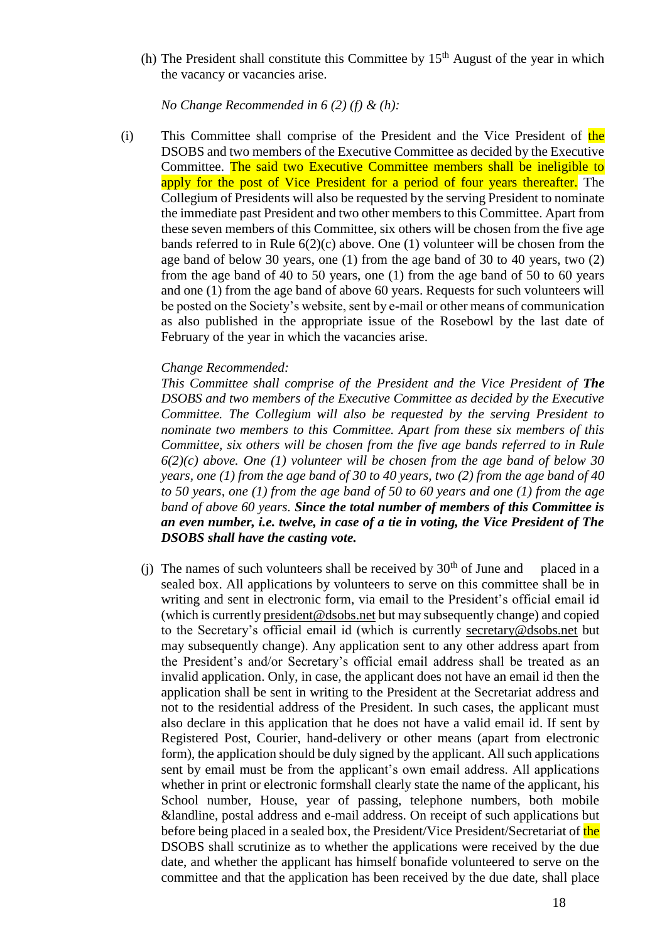(h) The President shall constitute this Committee by  $15<sup>th</sup>$  August of the year in which the vacancy or vacancies arise.

*No Change Recommended in 6 (2) (f) & (h):*

(i) This Committee shall comprise of the President and the Vice President of the DSOBS and two members of the Executive Committee as decided by the Executive Committee. The said two Executive Committee members shall be ineligible to apply for the post of Vice President for a period of four years thereafter. The Collegium of Presidents will also be requested by the serving President to nominate the immediate past President and two other members to this Committee. Apart from these seven members of this Committee, six others will be chosen from the five age bands referred to in Rule  $6(2)(c)$  above. One (1) volunteer will be chosen from the age band of below 30 years, one (1) from the age band of 30 to 40 years, two (2) from the age band of 40 to 50 years, one (1) from the age band of 50 to 60 years and one (1) from the age band of above 60 years. Requests for such volunteers will be posted on the Society's website, sent by e-mail or other means of communication as also published in the appropriate issue of the Rosebowl by the last date of February of the year in which the vacancies arise.

### *Change Recommended:*

*This Committee shall comprise of the President and the Vice President of The DSOBS and two members of the Executive Committee as decided by the Executive Committee. The Collegium will also be requested by the serving President to nominate two members to this Committee. Apart from these six members of this Committee, six others will be chosen from the five age bands referred to in Rule 6(2)(c) above. One (1) volunteer will be chosen from the age band of below 30 years, one (1) from the age band of 30 to 40 years, two (2) from the age band of 40 to 50 years, one (1) from the age band of 50 to 60 years and one (1) from the age band of above 60 years. Since the total number of members of this Committee is an even number, i.e. twelve, in case of a tie in voting, the Vice President of The DSOBS shall have the casting vote.*

(i) The names of such volunteers shall be received by  $30<sup>th</sup>$  of June and placed in a sealed box. All applications by volunteers to serve on this committee shall be in writing and sent in electronic form, via email to the President's official email id (which is currentl[y president@dsobs.net](mailto:president@dsobs.net) but may subsequently change) and copied to the Secretary's official email id (which is currently [secretary@dsobs.net](mailto:secretary@dsobs.net) but may subsequently change). Any application sent to any other address apart from the President's and/or Secretary's official email address shall be treated as an invalid application. Only, in case, the applicant does not have an email id then the application shall be sent in writing to the President at the Secretariat address and not to the residential address of the President. In such cases, the applicant must also declare in this application that he does not have a valid email id. If sent by Registered Post, Courier, hand-delivery or other means (apart from electronic form), the application should be duly signed by the applicant. All such applications sent by email must be from the applicant's own email address. All applications whether in print or electronic formshall clearly state the name of the applicant, his School number, House, year of passing, telephone numbers, both mobile &landline, postal address and e-mail address. On receipt of such applications but before being placed in a sealed box, the President/Vice President/Secretariat of the DSOBS shall scrutinize as to whether the applications were received by the due date, and whether the applicant has himself bonafide volunteered to serve on the committee and that the application has been received by the due date, shall place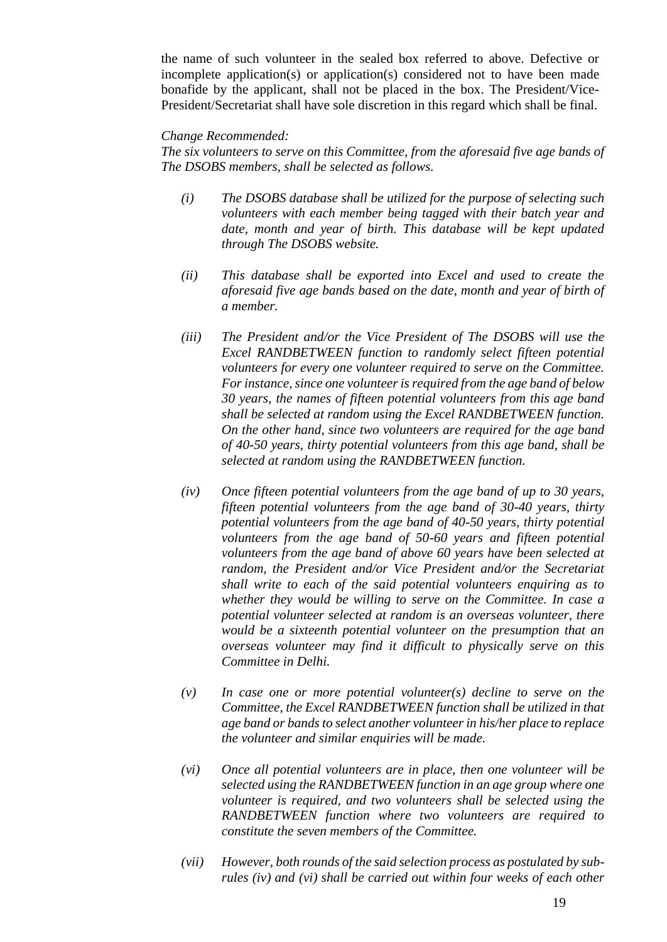the name of such volunteer in the sealed box referred to above. Defective or incomplete application(s) or application(s) considered not to have been made bonafide by the applicant, shall not be placed in the box. The President/Vice-President/Secretariat shall have sole discretion in this regard which shall be final.

#### *Change Recommended:*

*The six volunteers to serve on this Committee, from the aforesaid five age bands of The DSOBS members, shall be selected as follows.*

- *(i) The DSOBS database shall be utilized for the purpose of selecting such volunteers with each member being tagged with their batch year and date, month and year of birth. This database will be kept updated through The DSOBS website.*
- *(ii) This database shall be exported into Excel and used to create the aforesaid five age bands based on the date, month and year of birth of a member.*
- *(iii) The President and/or the Vice President of The DSOBS will use the Excel RANDBETWEEN function to randomly select fifteen potential volunteers for every one volunteer required to serve on the Committee. For instance, since one volunteer is required from the age band of below 30 years, the names of fifteen potential volunteers from this age band shall be selected at random using the Excel RANDBETWEEN function. On the other hand, since two volunteers are required for the age band of 40-50 years, thirty potential volunteers from this age band, shall be selected at random using the RANDBETWEEN function.*
- *(iv) Once fifteen potential volunteers from the age band of up to 30 years, fifteen potential volunteers from the age band of 30-40 years, thirty potential volunteers from the age band of 40-50 years, thirty potential volunteers from the age band of 50-60 years and fifteen potential volunteers from the age band of above 60 years have been selected at random, the President and/or Vice President and/or the Secretariat shall write to each of the said potential volunteers enquiring as to whether they would be willing to serve on the Committee. In case a potential volunteer selected at random is an overseas volunteer, there would be a sixteenth potential volunteer on the presumption that an overseas volunteer may find it difficult to physically serve on this Committee in Delhi.*
- *(v) In case one or more potential volunteer(s) decline to serve on the Committee, the Excel RANDBETWEEN function shall be utilized in that age band or bands to select another volunteer in his/her place to replace the volunteer and similar enquiries will be made.*
- *(vi) Once all potential volunteers are in place, then one volunteer will be selected using the RANDBETWEEN function in an age group where one volunteer is required, and two volunteers shall be selected using the RANDBETWEEN function where two volunteers are required to constitute the seven members of the Committee.*
- *(vii) However, both rounds of the said selection process as postulated by subrules (iv) and (vi) shall be carried out within four weeks of each other*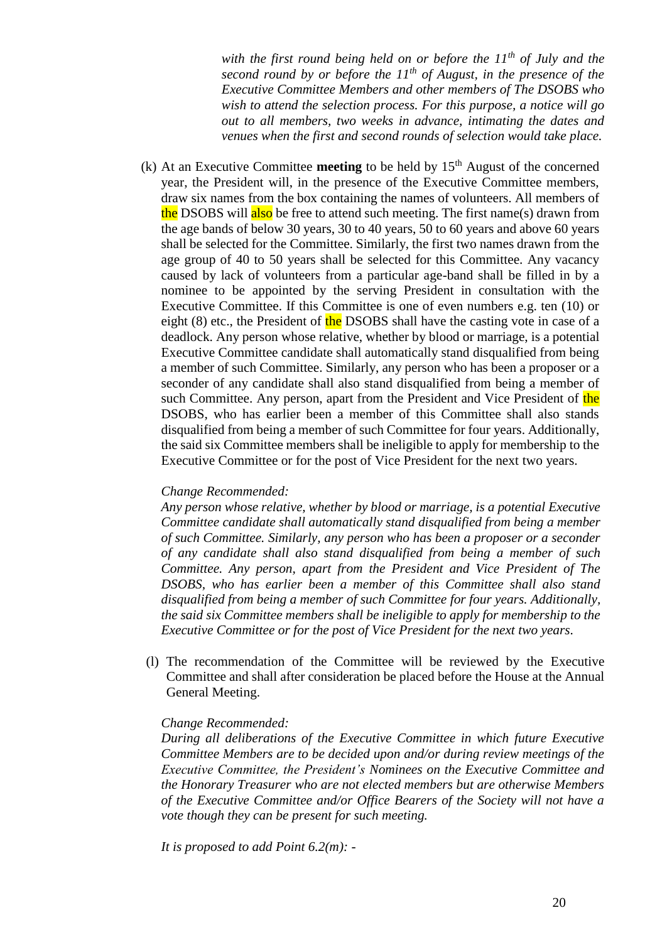*with the first round being held on or before the 11th of July and the second round by or before the 11th of August, in the presence of the Executive Committee Members and other members of The DSOBS who wish to attend the selection process. For this purpose, a notice will go out to all members, two weeks in advance, intimating the dates and venues when the first and second rounds of selection would take place.*

(k) At an Executive Committee **meeting** to be held by  $15<sup>th</sup>$  August of the concerned year, the President will, in the presence of the Executive Committee members, draw six names from the box containing the names of volunteers. All members of the DSOBS will also be free to attend such meeting. The first name(s) drawn from the age bands of below 30 years, 30 to 40 years, 50 to 60 years and above 60 years shall be selected for the Committee. Similarly, the first two names drawn from the age group of 40 to 50 years shall be selected for this Committee. Any vacancy caused by lack of volunteers from a particular age-band shall be filled in by a nominee to be appointed by the serving President in consultation with the Executive Committee. If this Committee is one of even numbers e.g. ten (10) or eight (8) etc., the President of the DSOBS shall have the casting vote in case of a deadlock. Any person whose relative, whether by blood or marriage, is a potential Executive Committee candidate shall automatically stand disqualified from being a member of such Committee. Similarly, any person who has been a proposer or a seconder of any candidate shall also stand disqualified from being a member of such Committee. Any person, apart from the President and Vice President of the DSOBS, who has earlier been a member of this Committee shall also stands disqualified from being a member of such Committee for four years. Additionally, the said six Committee members shall be ineligible to apply for membership to the Executive Committee or for the post of Vice President for the next two years.

#### *Change Recommended:*

*Any person whose relative, whether by blood or marriage, is a potential Executive Committee candidate shall automatically stand disqualified from being a member of such Committee. Similarly, any person who has been a proposer or a seconder of any candidate shall also stand disqualified from being a member of such Committee. Any person, apart from the President and Vice President of The DSOBS, who has earlier been a member of this Committee shall also stand disqualified from being a member of such Committee for four years. Additionally, the said six Committee members shall be ineligible to apply for membership to the Executive Committee or for the post of Vice President for the next two years.*

(l) The recommendation of the Committee will be reviewed by the Executive Committee and shall after consideration be placed before the House at the Annual General Meeting.

### *Change Recommended:*

*During all deliberations of the Executive Committee in which future Executive Committee Members are to be decided upon and/or during review meetings of the Executive Committee, the President's Nominees on the Executive Committee and the Honorary Treasurer who are not elected members but are otherwise Members of the Executive Committee and/or Office Bearers of the Society will not have a vote though they can be present for such meeting.* 

*It is proposed to add Point 6.2(m): -*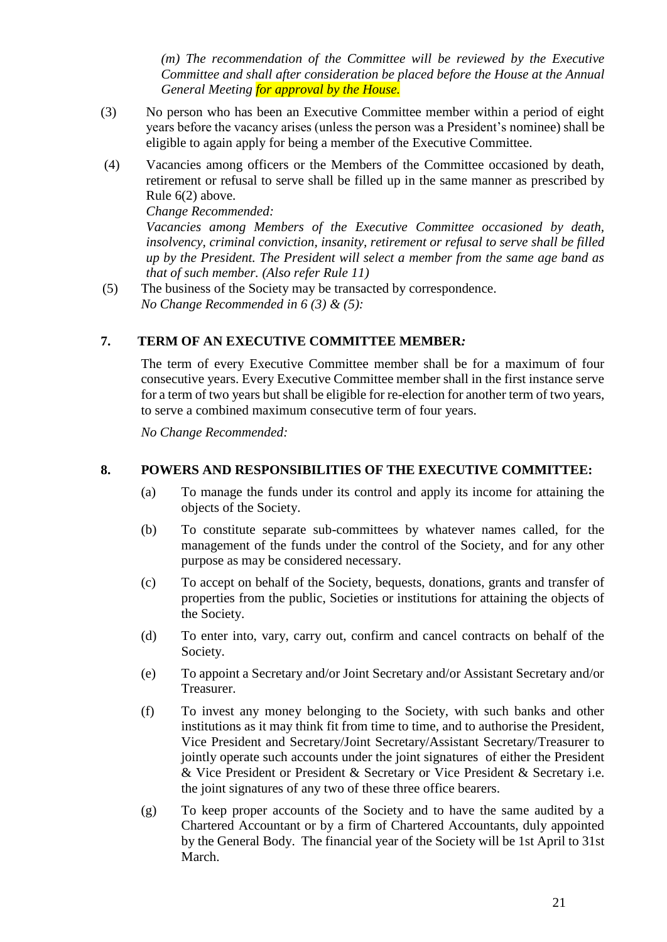*(m) The recommendation of the Committee will be reviewed by the Executive Committee and shall after consideration be placed before the House at the Annual General Meeting for approval by the House.*

- (3) No person who has been an Executive Committee member within a period of eight years before the vacancy arises (unless the person was a President's nominee) shall be eligible to again apply for being a member of the Executive Committee.
- (4) Vacancies among officers or the Members of the Committee occasioned by death, retirement or refusal to serve shall be filled up in the same manner as prescribed by Rule 6(2) above.

*Change Recommended:*

*Vacancies among Members of the Executive Committee occasioned by death, insolvency, criminal conviction, insanity, retirement or refusal to serve shall be filled up by the President. The President will select a member from the same age band as that of such member. (Also refer Rule 11)*

 (5) The business of the Society may be transacted by correspondence. *No Change Recommended in 6 (3) & (5):*

### **7. TERM OF AN EXECUTIVE COMMITTEE MEMBER***:*

The term of every Executive Committee member shall be for a maximum of four consecutive years. Every Executive Committee member shall in the first instance serve for a term of two years but shall be eligible for re-election for another term of two years*,*  to serve a combined maximum consecutive term of four years.

*No Change Recommended:*

#### **8. POWERS AND RESPONSIBILITIES OF THE EXECUTIVE COMMITTEE:**

- (a) To manage the funds under its control and apply its income for attaining the objects of the Society.
- (b) To constitute separate sub-committees by whatever names called, for the management of the funds under the control of the Society, and for any other purpose as may be considered necessary.
- (c) To accept on behalf of the Society, bequests, donations, grants and transfer of properties from the public, Societies or institutions for attaining the objects of the Society.
- (d) To enter into, vary, carry out, confirm and cancel contracts on behalf of the Society.
- (e) To appoint a Secretary and/or Joint Secretary and/or Assistant Secretary and/or Treasurer.
- (f) To invest any money belonging to the Society, with such banks and other institutions as it may think fit from time to time, and to authorise the President, Vice President and Secretary/Joint Secretary/Assistant Secretary/Treasurer to jointly operate such accounts under the joint signatures of either the President & Vice President or President & Secretary or Vice President & Secretary i.e. the joint signatures of any two of these three office bearers.
- (g) To keep proper accounts of the Society and to have the same audited by a Chartered Accountant or by a firm of Chartered Accountants, duly appointed by the General Body. The financial year of the Society will be 1st April to 31st March.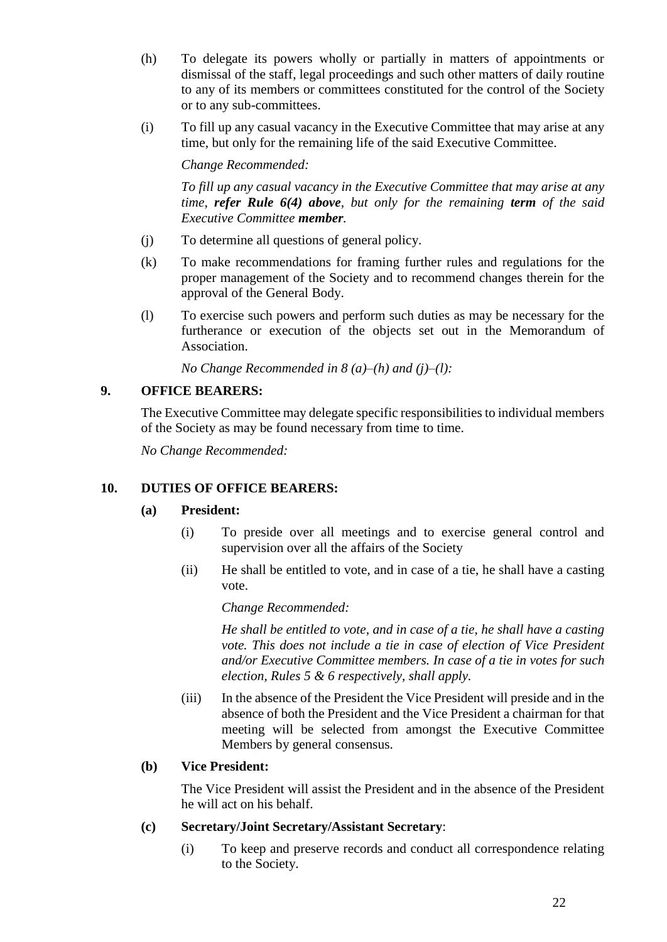- (h) To delegate its powers wholly or partially in matters of appointments or dismissal of the staff, legal proceedings and such other matters of daily routine to any of its members or committees constituted for the control of the Society or to any sub-committees.
- (i) To fill up any casual vacancy in the Executive Committee that may arise at any time, but only for the remaining life of the said Executive Committee.

*Change Recommended:*

*To fill up any casual vacancy in the Executive Committee that may arise at any time, refer Rule 6(4) above, but only for the remaining term of the said Executive Committee member.*

- (j) To determine all questions of general policy.
- (k) To make recommendations for framing further rules and regulations for the proper management of the Society and to recommend changes therein for the approval of the General Body.
- (l) To exercise such powers and perform such duties as may be necessary for the furtherance or execution of the objects set out in the Memorandum of Association.

*No Change Recommended in 8 (a)–(h) and (j)–(l):*

# **9. OFFICE BEARERS:**

The Executive Committee may delegate specific responsibilities to individual members of the Society as may be found necessary from time to time.

*No Change Recommended:*

# **10. DUTIES OF OFFICE BEARERS:**

## **(a) President:**

- (i) To preside over all meetings and to exercise general control and supervision over all the affairs of the Society
- (ii) He shall be entitled to vote, and in case of a tie, he shall have a casting vote.

*Change Recommended:*

*He shall be entitled to vote, and in case of a tie, he shall have a casting vote. This does not include a tie in case of election of Vice President and/or Executive Committee members. In case of a tie in votes for such election, Rules 5 & 6 respectively, shall apply.*

(iii) In the absence of the President the Vice President will preside and in the absence of both the President and the Vice President a chairman for that meeting will be selected from amongst the Executive Committee Members by general consensus.

## **(b) Vice President:**

The Vice President will assist the President and in the absence of the President he will act on his behalf.

## **(c) Secretary/Joint Secretary/Assistant Secretary**:

(i) To keep and preserve records and conduct all correspondence relating to the Society.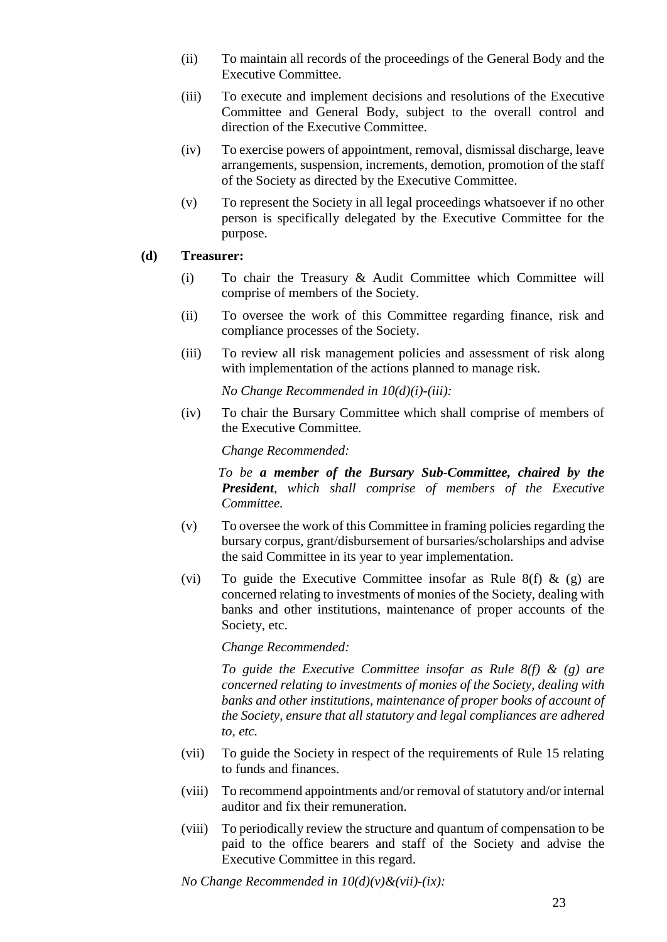- (ii) To maintain all records of the proceedings of the General Body and the Executive Committee.
- (iii) To execute and implement decisions and resolutions of the Executive Committee and General Body, subject to the overall control and direction of the Executive Committee.
- (iv) To exercise powers of appointment, removal, dismissal discharge, leave arrangements, suspension, increments, demotion, promotion of the staff of the Society as directed by the Executive Committee.
- (v) To represent the Society in all legal proceedings whatsoever if no other person is specifically delegated by the Executive Committee for the purpose.

#### **(d) Treasurer:**

- (i) To chair the Treasury & Audit Committee which Committee will comprise of members of the Society.
- (ii) To oversee the work of this Committee regarding finance, risk and compliance processes of the Society.
- (iii) To review all risk management policies and assessment of risk along with implementation of the actions planned to manage risk.

*No Change Recommended in 10(d)(i)-(iii):*

(iv) To chair the Bursary Committee which shall comprise of members of the Executive Committee.

*Change Recommended:*

 *To be a member of the Bursary Sub-Committee, chaired by the President, which shall comprise of members of the Executive Committee.*

- (v) To oversee the work of this Committee in framing policies regarding the bursary corpus, grant/disbursement of bursaries/scholarships and advise the said Committee in its year to year implementation.
- (vi) To guide the Executive Committee insofar as Rule 8(f)  $\&$  (g) are concerned relating to investments of monies of the Society, dealing with banks and other institutions, maintenance of proper accounts of the Society, etc.

*Change Recommended:*

*To guide the Executive Committee insofar as Rule 8(f) & (g) are concerned relating to investments of monies of the Society, dealing with banks and other institutions, maintenance of proper books of account of the Society, ensure that all statutory and legal compliances are adhered to, etc.*

- (vii) To guide the Society in respect of the requirements of Rule 15 relating to funds and finances.
- (viii) To recommend appointments and/or removal of statutory and/or internal auditor and fix their remuneration.
- (viii) To periodically review the structure and quantum of compensation to be paid to the office bearers and staff of the Society and advise the Executive Committee in this regard.

*No Change Recommended in 10(d)(v)&(vii)-(ix):*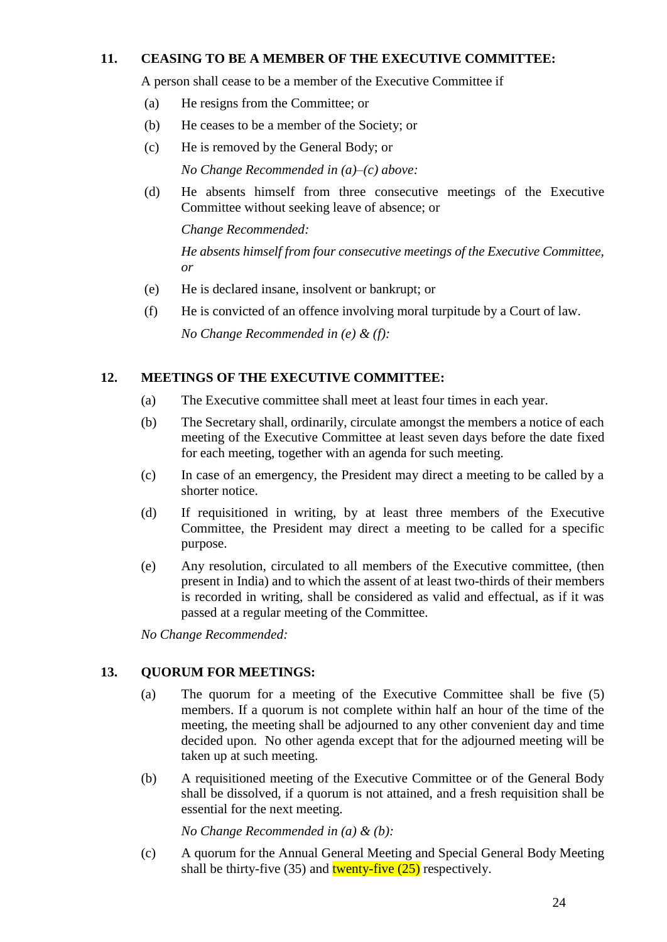### **11. CEASING TO BE A MEMBER OF THE EXECUTIVE COMMITTEE:**

A person shall cease to be a member of the Executive Committee if

- (a) He resigns from the Committee; or
- (b) He ceases to be a member of the Society; or
- (c) He is removed by the General Body; or

*No Change Recommended in (a)–(c) above:*

(d) He absents himself from three consecutive meetings of the Executive Committee without seeking leave of absence; or

*Change Recommended:*

*He absents himself from four consecutive meetings of the Executive Committee, or*

- (e) He is declared insane, insolvent or bankrupt; or
- (f) He is convicted of an offence involving moral turpitude by a Court of law.

*No Change Recommended in (e) & (f):*

## **12. MEETINGS OF THE EXECUTIVE COMMITTEE:**

- (a) The Executive committee shall meet at least four times in each year.
- (b) The Secretary shall, ordinarily, circulate amongst the members a notice of each meeting of the Executive Committee at least seven days before the date fixed for each meeting, together with an agenda for such meeting.
- (c) In case of an emergency, the President may direct a meeting to be called by a shorter notice.
- (d) If requisitioned in writing, by at least three members of the Executive Committee, the President may direct a meeting to be called for a specific purpose.
- (e) Any resolution, circulated to all members of the Executive committee, (then present in India) and to which the assent of at least two-thirds of their members is recorded in writing, shall be considered as valid and effectual, as if it was passed at a regular meeting of the Committee.

*No Change Recommended:*

## **13. QUORUM FOR MEETINGS:**

- (a) The quorum for a meeting of the Executive Committee shall be five (5) members. If a quorum is not complete within half an hour of the time of the meeting, the meeting shall be adjourned to any other convenient day and time decided upon. No other agenda except that for the adjourned meeting will be taken up at such meeting.
- (b) A requisitioned meeting of the Executive Committee or of the General Body shall be dissolved, if a quorum is not attained, and a fresh requisition shall be essential for the next meeting.

*No Change Recommended in (a) & (b):*

(c) A quorum for the Annual General Meeting and Special General Body Meeting shall be thirty-five (35) and **twenty-five (25)** respectively.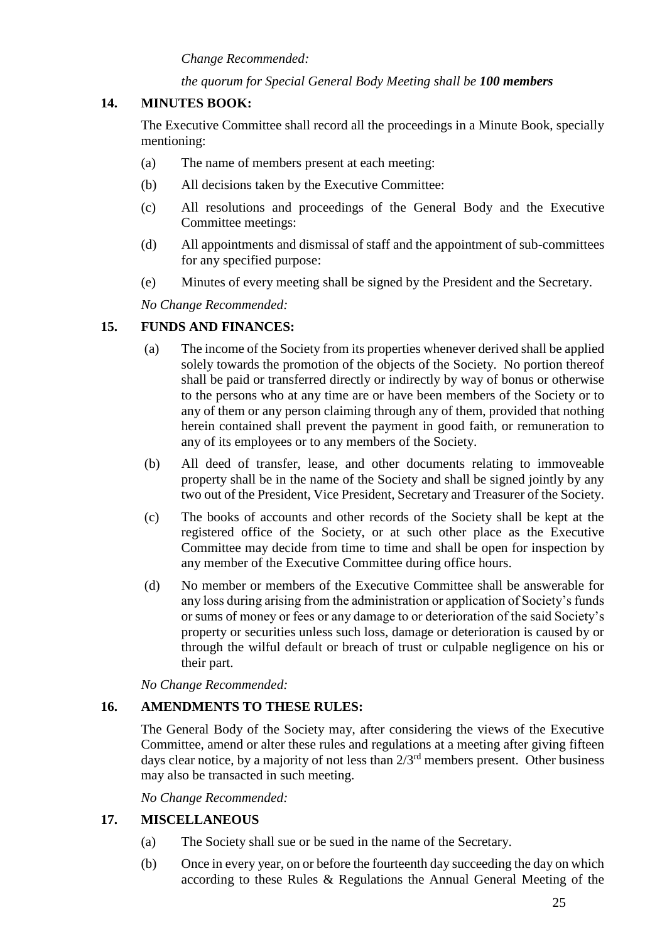*Change Recommended:*

### *the quorum for Special General Body Meeting shall be 100 members*

### **14. MINUTES BOOK:**

The Executive Committee shall record all the proceedings in a Minute Book, specially mentioning:

- (a) The name of members present at each meeting:
- (b) All decisions taken by the Executive Committee:
- (c) All resolutions and proceedings of the General Body and the Executive Committee meetings:
- (d) All appointments and dismissal of staff and the appointment of sub-committees for any specified purpose:
- (e) Minutes of every meeting shall be signed by the President and the Secretary.

*No Change Recommended:*

### **15. FUNDS AND FINANCES:**

- (a) The income of the Society from its properties whenever derived shall be applied solely towards the promotion of the objects of the Society. No portion thereof shall be paid or transferred directly or indirectly by way of bonus or otherwise to the persons who at any time are or have been members of the Society or to any of them or any person claiming through any of them, provided that nothing herein contained shall prevent the payment in good faith, or remuneration to any of its employees or to any members of the Society.
- (b) All deed of transfer, lease, and other documents relating to immoveable property shall be in the name of the Society and shall be signed jointly by any two out of the President, Vice President, Secretary and Treasurer of the Society.
- (c) The books of accounts and other records of the Society shall be kept at the registered office of the Society, or at such other place as the Executive Committee may decide from time to time and shall be open for inspection by any member of the Executive Committee during office hours.
- (d) No member or members of the Executive Committee shall be answerable for any loss during arising from the administration or application of Society's funds or sums of money or fees or any damage to or deterioration of the said Society's property or securities unless such loss, damage or deterioration is caused by or through the wilful default or breach of trust or culpable negligence on his or their part.

*No Change Recommended:*

## **16. AMENDMENTS TO THESE RULES:**

The General Body of the Society may, after considering the views of the Executive Committee, amend or alter these rules and regulations at a meeting after giving fifteen days clear notice, by a majority of not less than  $2/3<sup>rd</sup>$  members present. Other business may also be transacted in such meeting.

*No Change Recommended:*

## **17. MISCELLANEOUS**

- (a) The Society shall sue or be sued in the name of the Secretary.
- (b) Once in every year, on or before the fourteenth day succeeding the day on which according to these Rules & Regulations the Annual General Meeting of the